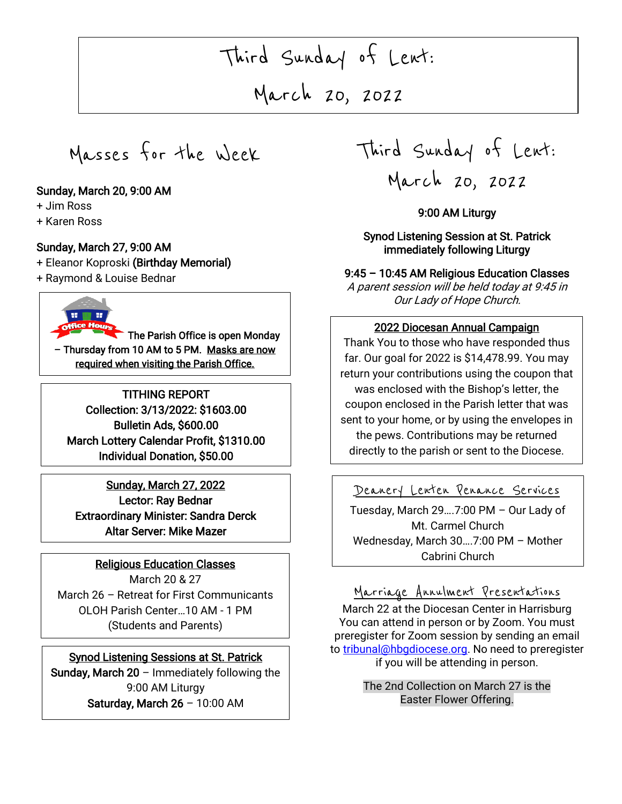# Third Sunday of Lent:

March 20, 2022

Masses for the Week

#### Sunday, March 20, 9:00 AM

+ Jim Ross

I

+ Karen Ross

#### Sunday, March 27, 9:00 AM

- + Eleanor Koproski (Birthday Memorial)
- + Raymond & Louise Bednar

The Parish Office is open Monday – Thursday from 10 AM to 5 PM. Masks are now required when visiting the Parish Office.

TITHING REPORT Collection: 3/13/2022: \$1603.00 Bulletin Ads, \$600.00 March Lottery Calendar Profit, \$1310.00 Individual Donation, \$50.00

Sunday, March 27, 2022 Lector: Ray Bednar Extraordinary Minister: Sandra Derck Altar Server: Mike Mazer

#### Religious Education Classes

March 20 & 27 March 26 – Retreat for First Communicants OLOH Parish Center…10 AM - 1 PM (Students and Parents)

#### Synod Listening Sessions at St. Patrick

Sunday, March  $20$  – Immediately following the 9:00 AM Liturgy Saturday, March 26 – 10:00 AM

Third Sunday of Lent: March 20, 2022

#### 9:00 AM Liturgy

Synod Listening Session at St. Patrick immediately following Liturgy

9:45 – 10:45 AM Religious Education Classes A parent session will be held today at 9:45 in Our Lady of Hope Church.

### 2022 Diocesan Annual Campaign

 Thank You to those who have responded thus return your contributions using the coupon that was enclosed with the Bishop's letter, the sent to your home, or by using the envelopes in  $\overline{\phantom{a}}$ far. Our goal for 2022 is \$14,478.99. You may coupon enclosed in the Parish letter that was the pews. Contributions may be returned directly to the parish or sent to the Diocese.

#### Deanery Lenten Penance Services

 Tuesday, March 29….7:00 PM – Our Lady of Mt. Carmel Church Wednesday, March 30….7:00 PM – Mother Cabrini Church

Ξ

Marriage Annulment Presentations

March 22 at the Diocesan Center in Harrisburg You can attend in person or by Zoom. You must preregister for Zoom session by sending an email t[o tribunal@hbgdiocese.org.](mailto:tribunal@hbgdiocese.org) No need to preregister if you will be attending in person.

> The 2nd Collection on March 27 is the Easter Flower Offering.